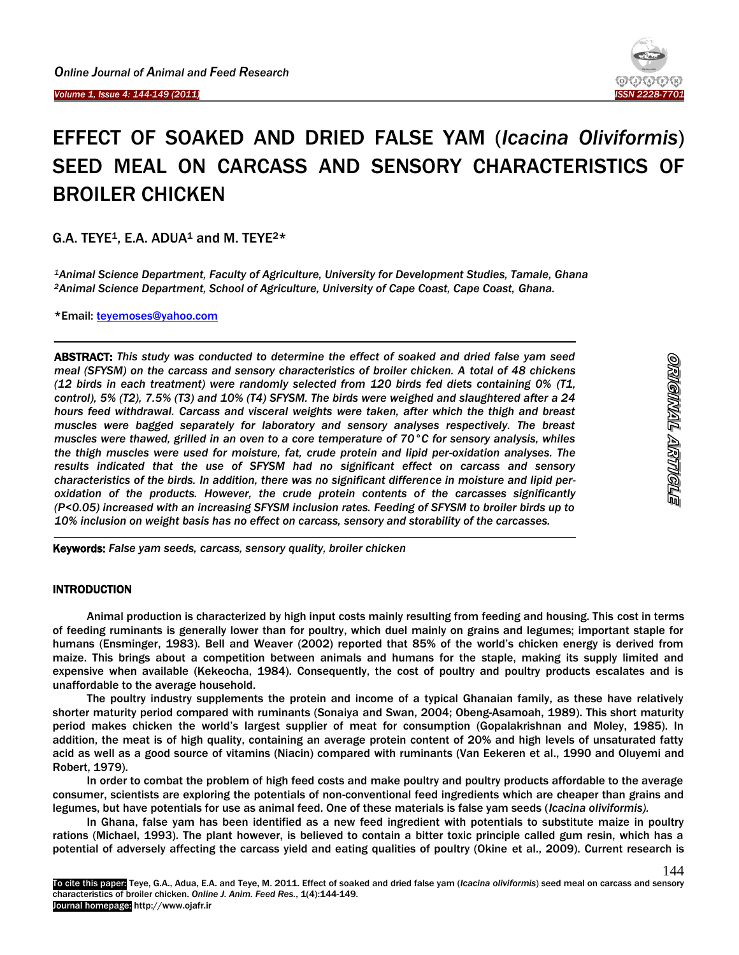j



# EFFECT OF SOAKED AND DRIED FALSE YAM (*Icacina Oliviformis*) SEED MEAL ON CARCASS AND SENSORY CHARACTERISTICS OF BROILER CHICKEN

G.A. TEYE<sup>1</sup>, E.A. ADUA<sup>1</sup> and M. TEYE<sup>2\*</sup>

*<sup>1</sup>Animal Science Department, Faculty of Agriculture, University for Development Studies, Tamale, Ghana <sup>2</sup>Animal Science Department, School of Agriculture, University of Cape Coast, Cape Coast, Ghana.* 

\*Email: [teyemoses@yahoo.com](mailto:teyemoses@yahoo.com)

ABSTRACT: *This study was conducted to determine the effect of soaked and dried false yam seed meal (SFYSM) on the carcass and sensory characteristics of broiler chicken. A total of 48 chickens (12 birds in each treatment) were randomly selected from 120 birds fed diets containing 0% (T1, control), 5% (T2), 7.5% (T3) and 10% (T4) SFYSM. The birds were weighed and slaughtered after a 24 hours feed withdrawal. Carcass and visceral weights were taken, after which the thigh and breast muscles were bagged separately for laboratory and sensory analyses respectively. The breast muscles were thawed, grilled in an oven to a core temperature of 70°C for sensory analysis, whiles the thigh muscles were used for moisture, fat, crude protein and lipid per-oxidation analyses. The results indicated that the use of SFYSM had no significant effect on carcass and sensory characteristics of the birds. In addition, there was no significant difference in moisture and lipid peroxidation of the products. However, the crude protein contents of the carcasses significantly (P<0.05) increased with an increasing SFYSM inclusion rates. Feeding of SFYSM to broiler birds up to 10% inclusion on weight basis has no effect on carcass, sensory and storability of the carcasses.*

Keywords: *False yam seeds, carcass, sensory quality, broiler chicken*

## **INTRODUCTION**

Animal production is characterized by high input costs mainly resulting from feeding and housing. This cost in terms of feeding ruminants is generally lower than for poultry, which duel mainly on grains and legumes; important staple for humans (Ensminger, 1983). Bell and Weaver (2002) reported that 85% of the world's chicken energy is derived from maize. This brings about a competition between animals and humans for the staple, making its supply limited and expensive when available (Kekeocha, 1984). Consequently, the cost of poultry and poultry products escalates and is unaffordable to the average household.

The poultry industry supplements the protein and income of a typical Ghanaian family, as these have relatively shorter maturity period compared with ruminants (Sonaiya and Swan, 2004; Obeng-Asamoah, 1989). This short maturity period makes chicken the world's largest supplier of meat for consumption (Gopalakrishnan and Moley, 1985). In addition, the meat is of high quality, containing an average protein content of 20% and high levels of unsaturated fatty acid as well as a good source of vitamins (Niacin) compared with ruminants (Van Eekeren et al., 1990 and Oluyemi and Robert, 1979).

In order to combat the problem of high feed costs and make poultry and poultry products affordable to the average consumer, scientists are exploring the potentials of non-conventional feed ingredients which are cheaper than grains and legumes, but have potentials for use as animal feed. One of these materials is false yam seeds (*Icacina oliviformis).* 

In Ghana, false yam has been identified as a new feed ingredient with potentials to substitute maize in poultry rations (Michael, 1993). The plant however, is believed to contain a bitter toxic principle called gum resin, which has a potential of adversely affecting the carcass yield and eating qualities of poultry (Okine et al., 2009). Current research is

To cite this paper: Teye, G.A., Adua, E.A. and Teye, M. 2011. Effect of soaked and dried false yam (*Icacina oliviformis*) seed meal on carcass and sensory characteristics of broiler chicken. *Online J. Anim. Feed Res.*, 1(4):144-149. Journal homepage: http://www.ojafr.ir

144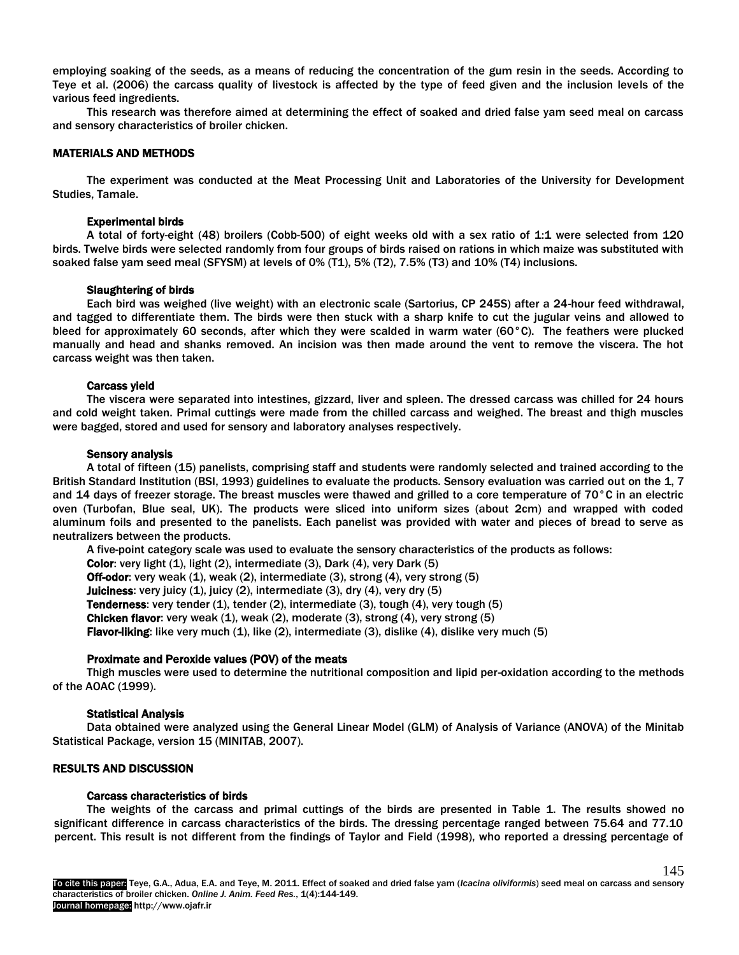employing soaking of the seeds, as a means of reducing the concentration of the gum resin in the seeds. According to Teye et al. (2006) the carcass quality of livestock is affected by the type of feed given and the inclusion levels of the various feed ingredients.

This research was therefore aimed at determining the effect of soaked and dried false yam seed meal on carcass and sensory characteristics of broiler chicken.

## MATERIALS AND METHODS

The experiment was conducted at the Meat Processing Unit and Laboratories of the University for Development Studies, Tamale.

#### Experimental birds

A total of forty-eight (48) broilers (Cobb-500) of eight weeks old with a sex ratio of 1:1 were selected from 120 birds. Twelve birds were selected randomly from four groups of birds raised on rations in which maize was substituted with soaked false yam seed meal (SFYSM) at levels of 0% (T1), 5% (T2), 7.5% (T3) and 10% (T4) inclusions.

#### Slaughtering of birds

Each bird was weighed (live weight) with an electronic scale (Sartorius, CP 245S) after a 24-hour feed withdrawal, and tagged to differentiate them. The birds were then stuck with a sharp knife to cut the jugular veins and allowed to bleed for approximately 60 seconds, after which they were scalded in warm water (60 $^{\circ}$ C). The feathers were plucked manually and head and shanks removed. An incision was then made around the vent to remove the viscera. The hot carcass weight was then taken.

## Carcass yield

The viscera were separated into intestines, gizzard, liver and spleen. The dressed carcass was chilled for 24 hours and cold weight taken. Primal cuttings were made from the chilled carcass and weighed. The breast and thigh muscles were bagged, stored and used for sensory and laboratory analyses respectively.

#### Sensory analysis

A total of fifteen (15) panelists, comprising staff and students were randomly selected and trained according to the British Standard Institution (BSI, 1993) guidelines to evaluate the products. Sensory evaluation was carried out on the 1, 7 and 14 days of freezer storage. The breast muscles were thawed and grilled to a core temperature of 70°C in an electric oven (Turbofan, Blue seal, UK). The products were sliced into uniform sizes (about 2cm) and wrapped with coded aluminum foils and presented to the panelists. Each panelist was provided with water and pieces of bread to serve as neutralizers between the products.

A five-point category scale was used to evaluate the sensory characteristics of the products as follows: Color: very light (1), light (2), intermediate (3), Dark (4), very Dark (5) Off-odor: very weak (1), weak (2), intermediate (3), strong (4), very strong (5) Juiciness: very juicy (1), juicy (2), intermediate (3), dry (4), very dry (5) **Tenderness:** very tender  $(1)$ , tender  $(2)$ , intermediate  $(3)$ , tough  $(4)$ , very tough  $(5)$ **Chicken flavor:** very weak  $(1)$ , weak  $(2)$ , moderate  $(3)$ , strong  $(4)$ , very strong  $(5)$ Flavor-liking: like very much (1), like (2), intermediate (3), dislike (4), dislike very much (5)

#### Proximate and Peroxide values (POV) of the meats

Thigh muscles were used to determine the nutritional composition and lipid per-oxidation according to the methods of the AOAC (1999).

#### Statistical Analysis

Data obtained were analyzed using the General Linear Model (GLM) of Analysis of Variance (ANOVA) of the Minitab Statistical Package, version 15 (MINITAB, 2007).

#### RESULTS AND DISCUSSION

#### Carcass characteristics of birds

The weights of the carcass and primal cuttings of the birds are presented in Table 1. The results showed no significant difference in carcass characteristics of the birds. The dressing percentage ranged between 75.64 and 77.10 percent. This result is not different from the findings of Taylor and Field (1998), who reported a dressing percentage of

145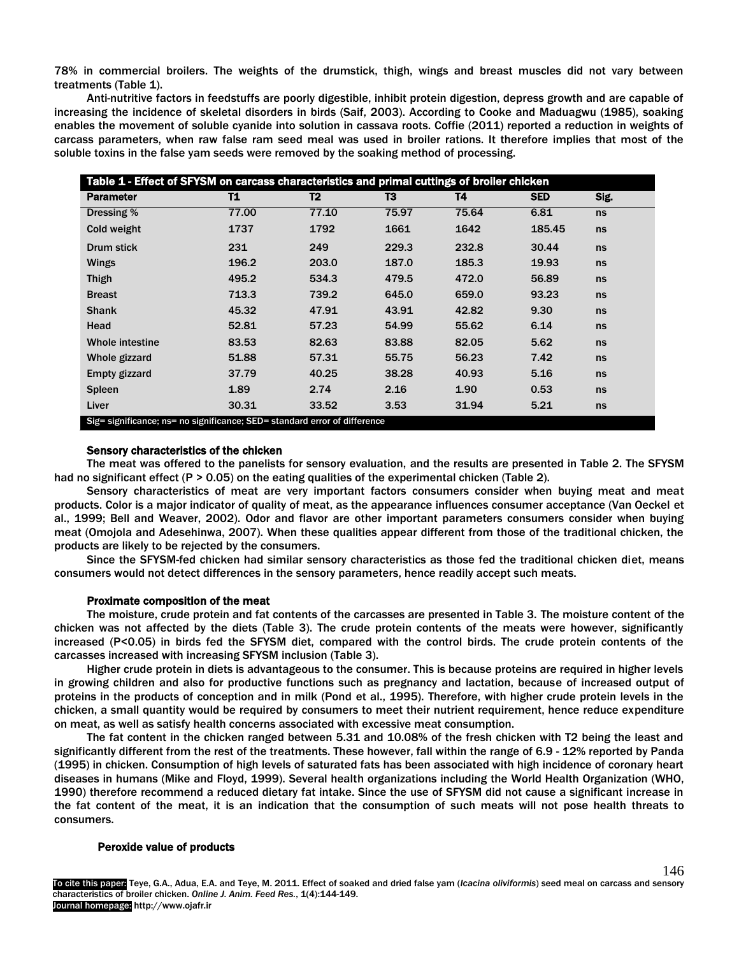78% in commercial broilers. The weights of the drumstick, thigh, wings and breast muscles did not vary between treatments (Table 1).

Anti-nutritive factors in feedstuffs are poorly digestible, inhibit protein digestion, depress growth and are capable of increasing the incidence of skeletal disorders in birds (Saif, 2003). According to Cooke and Maduagwu (1985), soaking enables the movement of soluble cyanide into solution in cassava roots. Coffie (2011) reported a reduction in weights of carcass parameters, when raw false ram seed meal was used in broiler rations. It therefore implies that most of the soluble toxins in the false yam seeds were removed by the soaking method of processing.

| Table 1 - Effect of SFYSM on carcass characteristics and primal cuttings of broiler chicken |       |                |       |       |            |      |  |
|---------------------------------------------------------------------------------------------|-------|----------------|-------|-------|------------|------|--|
| <b>Parameter</b>                                                                            | T1    | T <sub>2</sub> | T3    | T4    | <b>SED</b> | Sig. |  |
| Dressing %                                                                                  | 77.00 | 77.10          | 75.97 | 75.64 | 6.81       | ns   |  |
| Cold weight                                                                                 | 1737  | 1792           | 1661  | 1642  | 185.45     | ns   |  |
| Drum stick                                                                                  | 231   | 249            | 229.3 | 232.8 | 30.44      | ns   |  |
| Wings                                                                                       | 196.2 | 203.0          | 187.0 | 185.3 | 19.93      | ns   |  |
| <b>Thigh</b>                                                                                | 495.2 | 534.3          | 479.5 | 472.0 | 56.89      | ns   |  |
| <b>Breast</b>                                                                               | 713.3 | 739.2          | 645.0 | 659.0 | 93.23      | ns   |  |
| <b>Shank</b>                                                                                | 45.32 | 47.91          | 43.91 | 42.82 | 9.30       | ns   |  |
| Head                                                                                        | 52.81 | 57.23          | 54.99 | 55.62 | 6.14       | ns   |  |
| <b>Whole intestine</b>                                                                      | 83.53 | 82.63          | 83.88 | 82.05 | 5.62       | ns   |  |
| Whole gizzard                                                                               | 51.88 | 57.31          | 55.75 | 56.23 | 7.42       | ns   |  |
| Empty gizzard                                                                               | 37.79 | 40.25          | 38.28 | 40.93 | 5.16       | ns   |  |
| <b>Spleen</b>                                                                               | 1.89  | 2.74           | 2.16  | 1.90  | 0.53       | ns   |  |
| Liver                                                                                       | 30.31 | 33.52          | 3.53  | 31.94 | 5.21       | ns   |  |
| Sig= significance; ns= no significance; SED= standard error of difference                   |       |                |       |       |            |      |  |

#### Sensory characteristics of the chicken

The meat was offered to the panelists for sensory evaluation, and the results are presented in Table 2. The SFYSM had no significant effect (P > 0.05) on the eating qualities of the experimental chicken (Table 2).

Sensory characteristics of meat are very important factors consumers consider when buying meat and meat products. Color is a major indicator of quality of meat, as the appearance influences consumer acceptance (Van Oeckel et al., 1999; Bell and Weaver, 2002). Odor and flavor are other important parameters consumers consider when buying meat (Omojola and Adesehinwa, 2007). When these qualities appear different from those of the traditional chicken, the products are likely to be rejected by the consumers.

Since the SFYSM-fed chicken had similar sensory characteristics as those fed the traditional chicken diet, means consumers would not detect differences in the sensory parameters, hence readily accept such meats.

#### Proximate composition of the meat

The moisture, crude protein and fat contents of the carcasses are presented in Table 3. The moisture content of the chicken was not affected by the diets (Table 3). The crude protein contents of the meats were however, significantly increased (P<0.05) in birds fed the SFYSM diet, compared with the control birds. The crude protein contents of the carcasses increased with increasing SFYSM inclusion (Table 3).

Higher crude protein in diets is advantageous to the consumer. This is because proteins are required in higher levels in growing children and also for productive functions such as pregnancy and lactation, because of increased output of proteins in the products of conception and in milk (Pond et al., 1995). Therefore, with higher crude protein levels in the chicken, a small quantity would be required by consumers to meet their nutrient requirement, hence reduce expenditure on meat, as well as satisfy health concerns associated with excessive meat consumption.

The fat content in the chicken ranged between 5.31 and 10.08% of the fresh chicken with T2 being the least and significantly different from the rest of the treatments. These however, fall within the range of 6.9 - 12% reported by Panda (1995) in chicken. Consumption of high levels of saturated fats has been associated with high incidence of coronary heart diseases in humans (Mike and Floyd, 1999). Several health organizations including the World Health Organization (WHO, 1990) therefore recommend a reduced dietary fat intake. Since the use of SFYSM did not cause a significant increase in the fat content of the meat, it is an indication that the consumption of such meats will not pose health threats to consumers.

#### Peroxide value of products

To cite this paper: Teye, G.A., Adua, E.A. and Teye, M. 2011. Effect of soaked and dried false yam (*Icacina oliviformis*) seed meal on carcass and sensory characteristics of broiler chicken. *Online J. Anim. Feed Res.*, 1(4):144-149. Journal homepage: http://www.ojafr.ir 146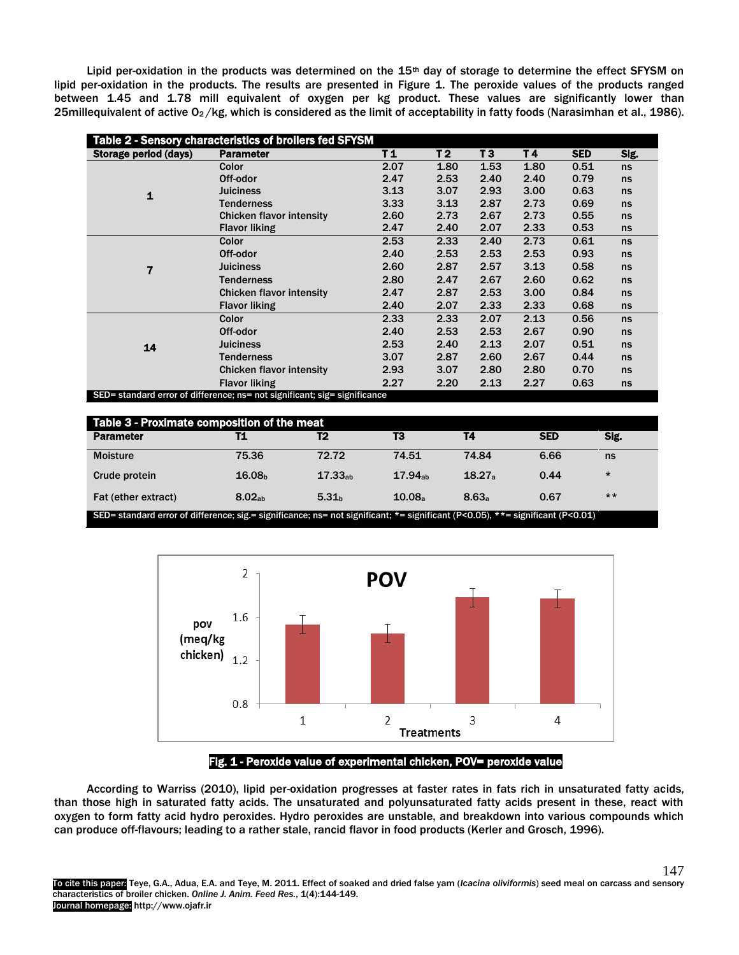Lipid per-oxidation in the products was determined on the 15<sup>th</sup> day of storage to determine the effect SFYSM on lipid per-oxidation in the products. The results are presented in Figure 1. The peroxide values of the products ranged between 1.45 and 1.78 mill equivalent of oxygen per kg product. These values are significantly lower than 25millequivalent of active  $O_2/kg$ , which is considered as the limit of acceptability in fatty foods (Narasimhan et al., 1986).

| Table 2 - Sensory characteristics of broilers fed SFYSM                   |                                 |                |                |      |      |            |      |
|---------------------------------------------------------------------------|---------------------------------|----------------|----------------|------|------|------------|------|
| Storage period (days)                                                     | <b>Parameter</b>                | T <sub>1</sub> | T <sub>2</sub> | T3   | T4   | <b>SED</b> | Sig. |
| 1                                                                         | Color                           | 2.07           | 1.80           | 1.53 | 1.80 | 0.51       | ns   |
|                                                                           | Off-odor                        | 2.47           | 2.53           | 2.40 | 2.40 | 0.79       | ns   |
|                                                                           | <b>Juiciness</b>                | 3.13           | 3.07           | 2.93 | 3.00 | 0.63       | ns   |
|                                                                           | <b>Tenderness</b>               | 3.33           | 3.13           | 2.87 | 2.73 | 0.69       | ns   |
|                                                                           | <b>Chicken flavor intensity</b> | 2.60           | 2.73           | 2.67 | 2.73 | 0.55       | ns   |
|                                                                           | <b>Flavor liking</b>            | 2.47           | 2.40           | 2.07 | 2.33 | 0.53       | ns   |
| 7                                                                         | Color                           | 2.53           | 2.33           | 2.40 | 2.73 | 0.61       | ns   |
|                                                                           | Off-odor                        | 2.40           | 2.53           | 2.53 | 2.53 | 0.93       | ns   |
|                                                                           | <b>Juiciness</b>                | 2.60           | 2.87           | 2.57 | 3.13 | 0.58       | ns   |
|                                                                           | <b>Tenderness</b>               | 2.80           | 2.47           | 2.67 | 2.60 | 0.62       | ns   |
|                                                                           | <b>Chicken flavor intensity</b> | 2.47           | 2.87           | 2.53 | 3.00 | 0.84       | ns   |
|                                                                           | <b>Flavor liking</b>            | 2.40           | 2.07           | 2.33 | 2.33 | 0.68       | ns   |
| 14                                                                        | Color                           | 2.33           | 2.33           | 2.07 | 2.13 | 0.56       | ns   |
|                                                                           | Off-odor                        | 2.40           | 2.53           | 2.53 | 2.67 | 0.90       | ns   |
|                                                                           | <b>Juiciness</b>                | 2.53           | 2.40           | 2.13 | 2.07 | 0.51       | ns   |
|                                                                           | <b>Tenderness</b>               | 3.07           | 2.87           | 2.60 | 2.67 | 0.44       | ns   |
|                                                                           | <b>Chicken flavor intensity</b> | 2.93           | 3.07           | 2.80 | 2.80 | 0.70       | ns   |
|                                                                           | <b>Flavor liking</b>            | 2.27           | 2.20           | 2.13 | 2.27 | 0.63       | ns   |
| SED= standard error of difference: ns= not significant: sig= significance |                                 |                |                |      |      |            |      |

SED= standard error of difference; ns= not significant; sig= significance

| Table 3 - Proximate composition of the meat                                                                                   |                    |                     |                     |                   |            |         |  |
|-------------------------------------------------------------------------------------------------------------------------------|--------------------|---------------------|---------------------|-------------------|------------|---------|--|
| <b>Parameter</b>                                                                                                              |                    | T <sub>2</sub>      | Т3                  | T4                | <b>SED</b> | Sig.    |  |
| <b>Moisture</b>                                                                                                               | 75.36              | 72.72               | 74.51               | 74.84             | 6.66       | ns      |  |
| Crude protein                                                                                                                 | 16.08 <sub>b</sub> | 17.33 <sub>ab</sub> | 17.94 <sub>ab</sub> | 18.27a            | 0.44       | $\star$ |  |
| Fat (ether extract)                                                                                                           | 8.02 <sub>ab</sub> | 5.31 <sub>b</sub>   | 10.08 <sub>a</sub>  | 8.63 <sub>a</sub> | 0.67       | $***$   |  |
| SED= standard error of difference; sig.= significance; ns= not significant; *= significant (P<0.05), **= significant (P<0.01) |                    |                     |                     |                   |            |         |  |





Fig. 1 - Peroxide value of experimental chicken, POV= peroxide value

According to Warriss (2010), lipid per-oxidation progresses at faster rates in fats rich in unsaturated fatty acids, than those high in saturated fatty acids. The unsaturated and polyunsaturated fatty acids present in these, react with oxygen to form fatty acid hydro peroxides. Hydro peroxides are unstable, and breakdown into various compounds which can produce off-flavours; leading to a rather stale, rancid flavor in food products (Kerler and Grosch, 1996).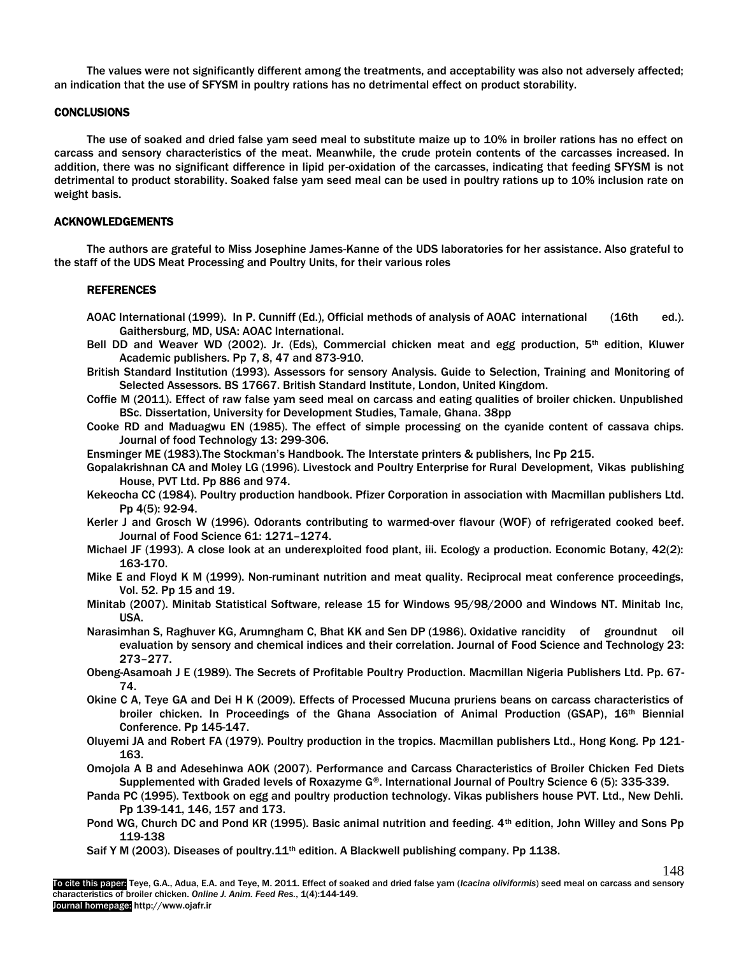The values were not significantly different among the treatments, and acceptability was also not adversely affected; an indication that the use of SFYSM in poultry rations has no detrimental effect on product storability.

# **CONCLUSIONS**

The use of soaked and dried false yam seed meal to substitute maize up to 10% in broiler rations has no effect on carcass and sensory characteristics of the meat. Meanwhile, the crude protein contents of the carcasses increased. In addition, there was no significant difference in lipid per-oxidation of the carcasses, indicating that feeding SFYSM is not detrimental to product storability. Soaked false yam seed meal can be used in poultry rations up to 10% inclusion rate on weight basis.

## ACKNOWLEDGEMENTS

The authors are grateful to Miss Josephine James-Kanne of the UDS laboratories for her assistance. Also grateful to the staff of the UDS Meat Processing and Poultry Units, for their various roles

## REFERENCES

- AOAC International (1999). In P. Cunniff (Ed.), Official methods of analysis of AOAC international (16th ed.). Gaithersburg, MD, USA: AOAC International.
- Bell DD and Weaver WD (2002). Jr. (Eds), Commercial chicken meat and egg production, 5<sup>th</sup> edition, Kluwer Academic publishers. Pp 7, 8, 47 and 873-910.
- British Standard Institution (1993). Assessors for sensory Analysis. Guide to Selection, Training and Monitoring of Selected Assessors. BS 17667. British Standard Institute, London, United Kingdom.
- Coffie M (2011). Effect of raw false yam seed meal on carcass and eating qualities of broiler chicken. Unpublished BSc. Dissertation, University for Development Studies, Tamale, Ghana. 38pp
- Cooke RD and Maduagwu EN (1985). The effect of simple processing on the cyanide content of cassava chips. Journal of food Technology 13: 299-306.
- Ensminger ME (1983).The Stockman's Handbook. The Interstate printers & publishers, Inc Pp 215.
- Gopalakrishnan CA and Moley LG (1996). Livestock and Poultry Enterprise for Rural Development, Vikas publishing House, PVT Ltd. Pp 886 and 974.
- Kekeocha CC (1984). Poultry production handbook. Pfizer Corporation in association with Macmillan publishers Ltd. Pp 4(5): 92-94.
- Kerler J and Grosch W (1996). Odorants contributing to warmed-over flavour (WOF) of refrigerated cooked beef. Journal of Food Science 61: 1271–1274.
- Michael JF (1993). A close look at an underexploited food plant, iii. Ecology a production. Economic Botany, 42(2): 163-170.
- Mike E and Floyd K M (1999). Non-ruminant nutrition and meat quality. Reciprocal meat conference proceedings, Vol. 52. Pp 15 and 19.
- Minitab (2007). Minitab Statistical Software, release 15 for Windows 95/98/2000 and Windows NT. Minitab Inc, USA.
- Narasimhan S, Raghuver KG, Arumngham C, Bhat KK and Sen DP (1986). Oxidative rancidity of groundnut oil evaluation by sensory and chemical indices and their correlation. Journal of Food Science and Technology 23: 273–277.
- Obeng-Asamoah J E (1989). The Secrets of Profitable Poultry Production. Macmillan Nigeria Publishers Ltd. Pp. 67- 74.
- Okine C A, Teye GA and Dei H K (2009). Effects of Processed Mucuna pruriens beans on carcass characteristics of broiler chicken. In Proceedings of the Ghana Association of Animal Production (GSAP), 16<sup>th</sup> Biennial Conference. Pp 145-147.
- Oluyemi JA and Robert FA (1979). Poultry production in the tropics. Macmillan publishers Ltd., Hong Kong. Pp 121- 163.
- Omojola A B and Adesehinwa AOK (2007). Performance and Carcass Characteristics of Broiler Chicken Fed Diets Supplemented with Graded levels of Roxazyme G®. International Journal of Poultry Science 6 (5): 335-339.
- Panda PC (1995). Textbook on egg and poultry production technology. Vikas publishers house PVT. Ltd., New Dehli. Pp 139-141, 146, 157 and 173.
- Pond WG, Church DC and Pond KR (1995). Basic animal nutrition and feeding. 4<sup>th</sup> edition, John Willey and Sons Pp 119-138

148

Saif Y M (2003). Diseases of poultry.11<sup>th</sup> edition. A Blackwell publishing company. Pp 1138.